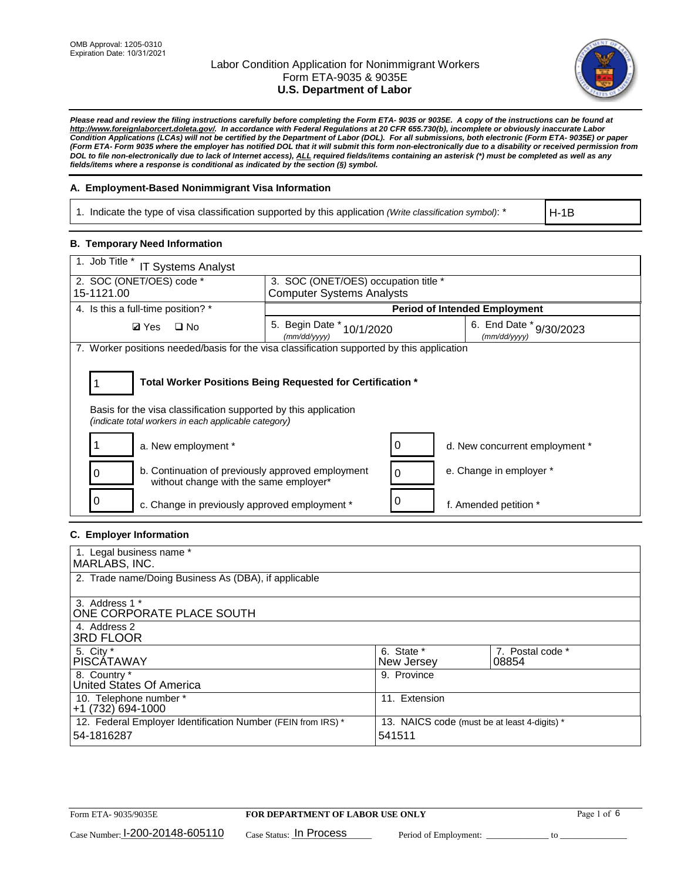

*Please read and review the filing instructions carefully before completing the Form ETA- 9035 or 9035E. A copy of the instructions can be found at [http://www.foreignlaborcert.doleta.gov/.](http://www.foreignlaborcert.doleta.gov/) In accordance with Federal Regulations at 20 CFR 655.730(b), incomplete or obviously inaccurate Labor Condition Applications (LCAs) will not be certified by the Department of Labor (DOL). For all submissions, both electronic (Form ETA- 9035E) or paper (Form ETA- Form 9035 where the employer has notified DOL that it will submit this form non-electronically due to a disability or received permission from DOL to file non-electronically due to lack of Internet access), ALL required fields/items containing an asterisk (\*) must be completed as well as any fields/items where a response is conditional as indicated by the section (§) symbol.* 

### **A. Employment-Based Nonimmigrant Visa Information**

1. Indicate the type of visa classification supported by this application *(Write classification symbol)*: \*

H-1B

### **B. Temporary Need Information**

| 1. Job Title *<br>IT Systems Analyst                                                                                    |                                                                          |   |                                         |  |  |
|-------------------------------------------------------------------------------------------------------------------------|--------------------------------------------------------------------------|---|-----------------------------------------|--|--|
| 2. SOC (ONET/OES) code *<br>15-1121.00                                                                                  | 3. SOC (ONET/OES) occupation title *<br><b>Computer Systems Analysts</b> |   |                                         |  |  |
|                                                                                                                         |                                                                          |   |                                         |  |  |
| 4. Is this a full-time position? *                                                                                      |                                                                          |   | <b>Period of Intended Employment</b>    |  |  |
| $\Box$ No<br><b>Ø</b> Yes                                                                                               | 5. Begin Date *<br>10/1/2020<br>(mm/dd/yyyy)                             |   | 6. End Date * 9/30/2023<br>(mm/dd/vvvv) |  |  |
| 7. Worker positions needed/basis for the visa classification supported by this application                              |                                                                          |   |                                         |  |  |
|                                                                                                                         |                                                                          |   |                                         |  |  |
| Total Worker Positions Being Requested for Certification *                                                              |                                                                          |   |                                         |  |  |
| Basis for the visa classification supported by this application<br>(indicate total workers in each applicable category) |                                                                          |   |                                         |  |  |
| a. New employment *                                                                                                     |                                                                          |   | d. New concurrent employment *          |  |  |
| b. Continuation of previously approved employment<br>without change with the same employer*                             |                                                                          | 0 | e. Change in employer *                 |  |  |
| c. Change in previously approved employment *                                                                           |                                                                          |   | f. Amended petition *                   |  |  |

## **C. Employer Information**

| 1. Legal business name *                                     |                                              |                  |
|--------------------------------------------------------------|----------------------------------------------|------------------|
| MARLABS, INC.                                                |                                              |                  |
| 2. Trade name/Doing Business As (DBA), if applicable         |                                              |                  |
|                                                              |                                              |                  |
| 3. Address 1 *                                               |                                              |                  |
| ONE CORPORATE PLACE SOUTH                                    |                                              |                  |
| 4. Address 2                                                 |                                              |                  |
| <b>3RD FLOOR</b>                                             |                                              |                  |
| 5. City *                                                    | 6. State *                                   | 7. Postal code * |
| <b>PISCATAWAY</b>                                            | New Jersey                                   | 08854            |
| 8. Country *                                                 | 9. Province                                  |                  |
| United States Of America                                     |                                              |                  |
| 10. Telephone number *                                       | 11. Extension                                |                  |
| +1 (732) 694-1000                                            |                                              |                  |
| 12. Federal Employer Identification Number (FEIN from IRS) * | 13. NAICS code (must be at least 4-digits) * |                  |
| 54-1816287                                                   | 541511                                       |                  |
|                                                              |                                              |                  |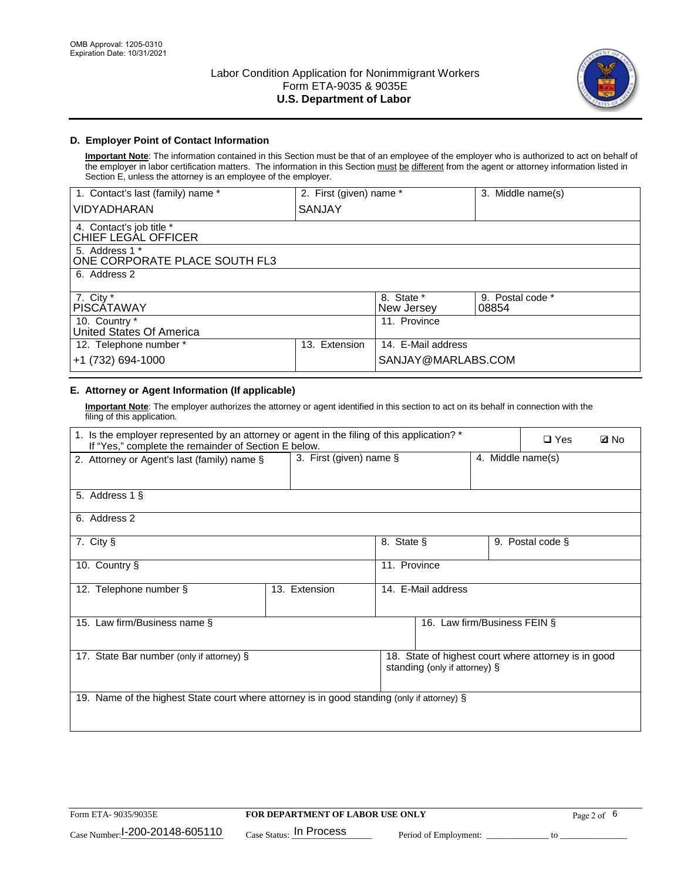

### **D. Employer Point of Contact Information**

**Important Note**: The information contained in this Section must be that of an employee of the employer who is authorized to act on behalf of the employer in labor certification matters. The information in this Section must be different from the agent or attorney information listed in Section E, unless the attorney is an employee of the employer.

| 1. Contact's last (family) name *               | 2. First (given) name * |                          | 3. Middle name(s)         |
|-------------------------------------------------|-------------------------|--------------------------|---------------------------|
| <b>VIDYADHARAN</b>                              | SANJAY                  |                          |                           |
| 4. Contact's job title *<br>CHIEF LEGAL OFFICER |                         |                          |                           |
| 5. Address 1 *<br>ONE CORPORATE PLACE SOUTH FL3 |                         |                          |                           |
| 6. Address 2                                    |                         |                          |                           |
| 7. City $*$<br><b>PISCATAWAY</b>                |                         | 8. State *<br>New Jersey | 9. Postal code *<br>08854 |
| 10. Country *<br>United States Of America       |                         | 11. Province             |                           |
| 12. Telephone number *                          | Extension<br>13.        | 14. E-Mail address       |                           |
| +1 (732) 694-1000                               |                         | SANJAY@MARLABS.COM       |                           |

## **E. Attorney or Agent Information (If applicable)**

**Important Note**: The employer authorizes the attorney or agent identified in this section to act on its behalf in connection with the filing of this application.

| 1. Is the employer represented by an attorney or agent in the filing of this application? *<br>If "Yes," complete the remainder of Section E below. |               |                                                 |                               |  | $\Box$ Yes                                           | <b>Ø</b> No |
|-----------------------------------------------------------------------------------------------------------------------------------------------------|---------------|-------------------------------------------------|-------------------------------|--|------------------------------------------------------|-------------|
| 2. Attorney or Agent's last (family) name §                                                                                                         |               | 3. First (given) name $\S$<br>4. Middle name(s) |                               |  |                                                      |             |
| 5. Address 1 §                                                                                                                                      |               |                                                 |                               |  |                                                      |             |
| 6. Address 2                                                                                                                                        |               |                                                 |                               |  |                                                      |             |
| 7. City §                                                                                                                                           |               | 8. State §                                      |                               |  | 9. Postal code §                                     |             |
| 10. Country §                                                                                                                                       |               | 11. Province                                    |                               |  |                                                      |             |
| 12. Telephone number §                                                                                                                              | 13. Extension | 14. E-Mail address                              |                               |  |                                                      |             |
| 15. Law firm/Business name §                                                                                                                        |               |                                                 | 16. Law firm/Business FEIN §  |  |                                                      |             |
| 17. State Bar number (only if attorney) §                                                                                                           |               |                                                 | standing (only if attorney) § |  | 18. State of highest court where attorney is in good |             |
| 19. Name of the highest State court where attorney is in good standing (only if attorney) §                                                         |               |                                                 |                               |  |                                                      |             |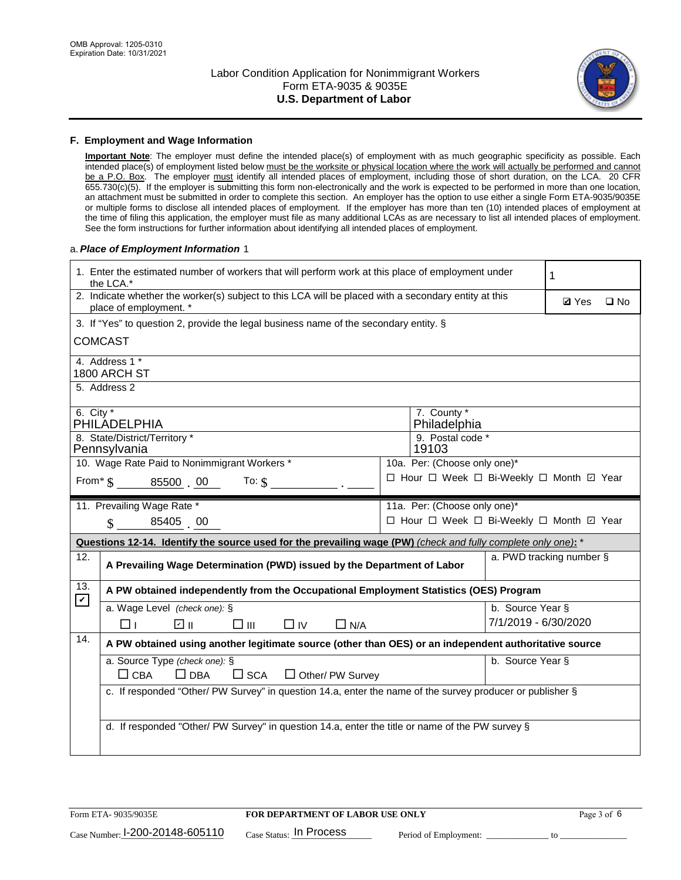

#### **F. Employment and Wage Information**

**Important Note**: The employer must define the intended place(s) of employment with as much geographic specificity as possible. Each intended place(s) of employment listed below must be the worksite or physical location where the work will actually be performed and cannot be a P.O. Box. The employer must identify all intended places of employment, including those of short duration, on the LCA. 20 CFR 655.730(c)(5). If the employer is submitting this form non-electronically and the work is expected to be performed in more than one location, an attachment must be submitted in order to complete this section. An employer has the option to use either a single Form ETA-9035/9035E or multiple forms to disclose all intended places of employment. If the employer has more than ten (10) intended places of employment at the time of filing this application, the employer must file as many additional LCAs as are necessary to list all intended places of employment. See the form instructions for further information about identifying all intended places of employment.

### a.*Place of Employment Information* 1

|                                                                              | 1. Enter the estimated number of workers that will perform work at this place of employment under<br>the LCA.*                 |  | 1                                        |                          |              |              |  |
|------------------------------------------------------------------------------|--------------------------------------------------------------------------------------------------------------------------------|--|------------------------------------------|--------------------------|--------------|--------------|--|
|                                                                              | 2. Indicate whether the worker(s) subject to this LCA will be placed with a secondary entity at this<br>place of employment. * |  |                                          |                          | <b>Ø</b> Yes | $\square$ No |  |
|                                                                              | 3. If "Yes" to question 2, provide the legal business name of the secondary entity. §                                          |  |                                          |                          |              |              |  |
|                                                                              | <b>COMCAST</b>                                                                                                                 |  |                                          |                          |              |              |  |
|                                                                              | 4. Address 1 *<br>1800 ARCH ST                                                                                                 |  |                                          |                          |              |              |  |
|                                                                              | 5. Address 2                                                                                                                   |  |                                          |                          |              |              |  |
| 6. City $*$                                                                  | PHILADELPHIA                                                                                                                   |  | 7. County *<br>Philadelphia              |                          |              |              |  |
|                                                                              | 8. State/District/Territory *                                                                                                  |  | 9. Postal code *                         |                          |              |              |  |
|                                                                              | Pennsylvania                                                                                                                   |  | 19103                                    |                          |              |              |  |
| 10. Wage Rate Paid to Nonimmigrant Workers *<br>10a. Per: (Choose only one)* |                                                                                                                                |  |                                          |                          |              |              |  |
|                                                                              | □ Hour □ Week □ Bi-Weekly □ Month ☑ Year<br>From $\frac{1}{5}$ 85500 00 To: $\frac{1}{5}$                                      |  |                                          |                          |              |              |  |
|                                                                              | 11. Prevailing Wage Rate *                                                                                                     |  | 11a. Per: (Choose only one)*             |                          |              |              |  |
|                                                                              | $\sin 85405$ 00                                                                                                                |  | □ Hour □ Week □ Bi-Weekly □ Month ☑ Year |                          |              |              |  |
|                                                                              | Questions 12-14. Identify the source used for the prevailing wage (PW) (check and fully complete only one): *                  |  |                                          |                          |              |              |  |
| 12.                                                                          | A Prevailing Wage Determination (PWD) issued by the Department of Labor                                                        |  |                                          | a. PWD tracking number § |              |              |  |
| 13.<br>$\mathbf v$                                                           | A PW obtained independently from the Occupational Employment Statistics (OES) Program                                          |  |                                          |                          |              |              |  |
|                                                                              | a. Wage Level (check one): §                                                                                                   |  |                                          | b. Source Year §         |              |              |  |
|                                                                              | ו ⊡<br>□Ⅲ<br>⊓⊥<br>$\Box$ IV<br>$\Box$ N/A                                                                                     |  |                                          | 7/1/2019 - 6/30/2020     |              |              |  |
| 14.                                                                          | A PW obtained using another legitimate source (other than OES) or an independent authoritative source                          |  |                                          |                          |              |              |  |
|                                                                              | a. Source Type (check one): §                                                                                                  |  |                                          | b. Source Year §         |              |              |  |
|                                                                              | $\Box$ CBA<br>$\Box$ DBA<br>$\square$ SCA<br>$\Box$ Other/ PW Survey                                                           |  |                                          |                          |              |              |  |
|                                                                              | c. If responded "Other/ PW Survey" in question 14.a, enter the name of the survey producer or publisher §                      |  |                                          |                          |              |              |  |
|                                                                              |                                                                                                                                |  |                                          |                          |              |              |  |
|                                                                              | d. If responded "Other/ PW Survey" in question 14.a, enter the title or name of the PW survey §                                |  |                                          |                          |              |              |  |
|                                                                              |                                                                                                                                |  |                                          |                          |              |              |  |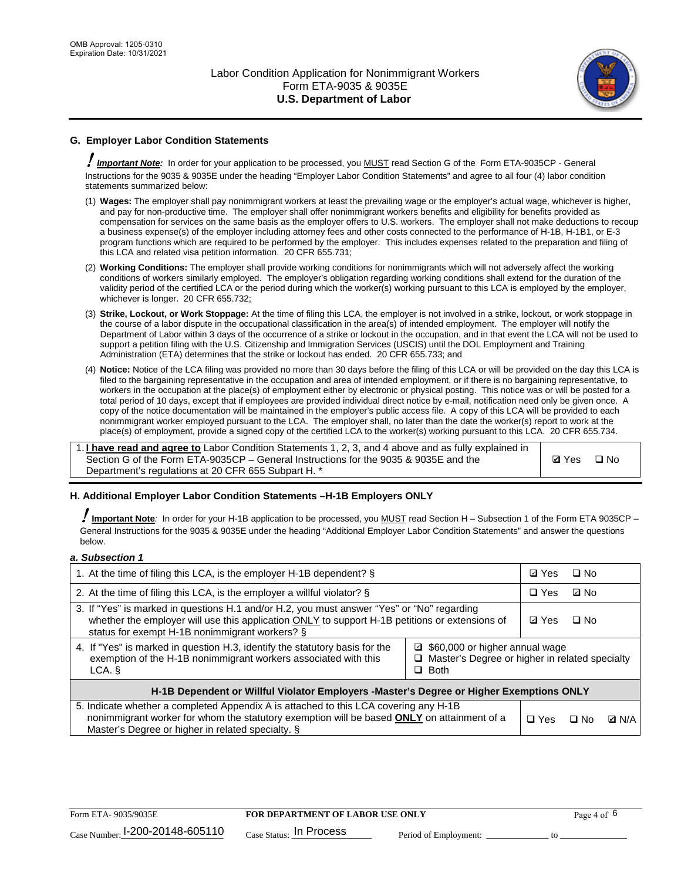

### **G. Employer Labor Condition Statements**

! *Important Note:* In order for your application to be processed, you MUST read Section G of the Form ETA-9035CP - General Instructions for the 9035 & 9035E under the heading "Employer Labor Condition Statements" and agree to all four (4) labor condition statements summarized below:

- (1) **Wages:** The employer shall pay nonimmigrant workers at least the prevailing wage or the employer's actual wage, whichever is higher, and pay for non-productive time. The employer shall offer nonimmigrant workers benefits and eligibility for benefits provided as compensation for services on the same basis as the employer offers to U.S. workers. The employer shall not make deductions to recoup a business expense(s) of the employer including attorney fees and other costs connected to the performance of H-1B, H-1B1, or E-3 program functions which are required to be performed by the employer. This includes expenses related to the preparation and filing of this LCA and related visa petition information. 20 CFR 655.731;
- (2) **Working Conditions:** The employer shall provide working conditions for nonimmigrants which will not adversely affect the working conditions of workers similarly employed. The employer's obligation regarding working conditions shall extend for the duration of the validity period of the certified LCA or the period during which the worker(s) working pursuant to this LCA is employed by the employer, whichever is longer. 20 CFR 655.732;
- (3) **Strike, Lockout, or Work Stoppage:** At the time of filing this LCA, the employer is not involved in a strike, lockout, or work stoppage in the course of a labor dispute in the occupational classification in the area(s) of intended employment. The employer will notify the Department of Labor within 3 days of the occurrence of a strike or lockout in the occupation, and in that event the LCA will not be used to support a petition filing with the U.S. Citizenship and Immigration Services (USCIS) until the DOL Employment and Training Administration (ETA) determines that the strike or lockout has ended. 20 CFR 655.733; and
- (4) **Notice:** Notice of the LCA filing was provided no more than 30 days before the filing of this LCA or will be provided on the day this LCA is filed to the bargaining representative in the occupation and area of intended employment, or if there is no bargaining representative, to workers in the occupation at the place(s) of employment either by electronic or physical posting. This notice was or will be posted for a total period of 10 days, except that if employees are provided individual direct notice by e-mail, notification need only be given once. A copy of the notice documentation will be maintained in the employer's public access file. A copy of this LCA will be provided to each nonimmigrant worker employed pursuant to the LCA. The employer shall, no later than the date the worker(s) report to work at the place(s) of employment, provide a signed copy of the certified LCA to the worker(s) working pursuant to this LCA. 20 CFR 655.734.

1. **I have read and agree to** Labor Condition Statements 1, 2, 3, and 4 above and as fully explained in Section G of the Form ETA-9035CP – General Instructions for the 9035 & 9035E and the Department's regulations at 20 CFR 655 Subpart H. \*

**Ø**Yes ロNo

### **H. Additional Employer Labor Condition Statements –H-1B Employers ONLY**

!**Important Note***:* In order for your H-1B application to be processed, you MUST read Section H – Subsection 1 of the Form ETA 9035CP – General Instructions for the 9035 & 9035E under the heading "Additional Employer Labor Condition Statements" and answer the questions below.

#### *a. Subsection 1*

| 1. At the time of filing this LCA, is the employer H-1B dependent? §                                                                                                                                                                                          | ⊡ Yes      | $\square$ No |              |  |
|---------------------------------------------------------------------------------------------------------------------------------------------------------------------------------------------------------------------------------------------------------------|------------|--------------|--------------|--|
| 2. At the time of filing this LCA, is the employer a willful violator? $\S$                                                                                                                                                                                   |            | $\Box$ Yes   | ⊡ No         |  |
| 3. If "Yes" is marked in questions H.1 and/or H.2, you must answer "Yes" or "No" regarding<br>whether the employer will use this application ONLY to support H-1B petitions or extensions of<br>status for exempt H-1B nonimmigrant workers? §                |            |              | $\Box$ No    |  |
| 4. If "Yes" is marked in question H.3, identify the statutory basis for the<br>■ \$60,000 or higher annual wage<br>exemption of the H-1B nonimmigrant workers associated with this<br>□ Master's Degree or higher in related specialty<br>$\Box$ Both<br>LCA. |            |              |              |  |
| H-1B Dependent or Willful Violator Employers -Master's Degree or Higher Exemptions ONLY                                                                                                                                                                       |            |              |              |  |
| 5. Indicate whether a completed Appendix A is attached to this LCA covering any H-1B<br>nonimmigrant worker for whom the statutory exemption will be based <b>ONLY</b> on attainment of a<br>Master's Degree or higher in related specialty. §                | $\Box$ Yes | ⊡ No         | <b>D</b> N/A |  |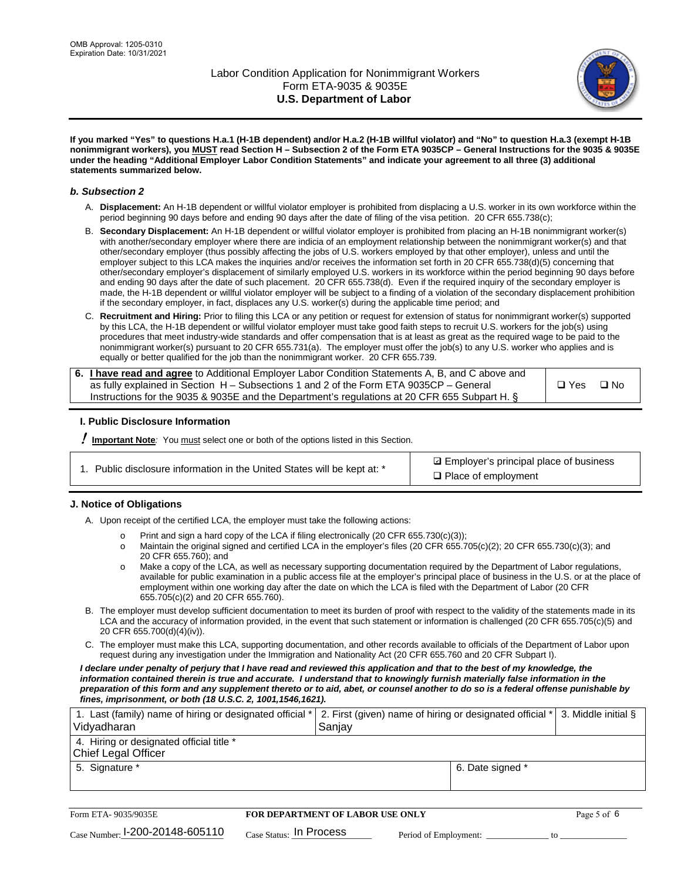

**If you marked "Yes" to questions H.a.1 (H-1B dependent) and/or H.a.2 (H-1B willful violator) and "No" to question H.a.3 (exempt H-1B nonimmigrant workers), you MUST read Section H – Subsection 2 of the Form ETA 9035CP – General Instructions for the 9035 & 9035E under the heading "Additional Employer Labor Condition Statements" and indicate your agreement to all three (3) additional statements summarized below.**

#### *b. Subsection 2*

- A. **Displacement:** An H-1B dependent or willful violator employer is prohibited from displacing a U.S. worker in its own workforce within the period beginning 90 days before and ending 90 days after the date of filing of the visa petition. 20 CFR 655.738(c);
- B. **Secondary Displacement:** An H-1B dependent or willful violator employer is prohibited from placing an H-1B nonimmigrant worker(s) with another/secondary employer where there are indicia of an employment relationship between the nonimmigrant worker(s) and that other/secondary employer (thus possibly affecting the jobs of U.S. workers employed by that other employer), unless and until the employer subject to this LCA makes the inquiries and/or receives the information set forth in 20 CFR 655.738(d)(5) concerning that other/secondary employer's displacement of similarly employed U.S. workers in its workforce within the period beginning 90 days before and ending 90 days after the date of such placement. 20 CFR 655.738(d). Even if the required inquiry of the secondary employer is made, the H-1B dependent or willful violator employer will be subject to a finding of a violation of the secondary displacement prohibition if the secondary employer, in fact, displaces any U.S. worker(s) during the applicable time period; and
- C. **Recruitment and Hiring:** Prior to filing this LCA or any petition or request for extension of status for nonimmigrant worker(s) supported by this LCA, the H-1B dependent or willful violator employer must take good faith steps to recruit U.S. workers for the job(s) using procedures that meet industry-wide standards and offer compensation that is at least as great as the required wage to be paid to the nonimmigrant worker(s) pursuant to 20 CFR 655.731(a). The employer must offer the job(s) to any U.S. worker who applies and is equally or better qualified for the job than the nonimmigrant worker. 20 CFR 655.739.

| 6. I have read and agree to Additional Employer Labor Condition Statements A, B, and C above and |       |           |
|--------------------------------------------------------------------------------------------------|-------|-----------|
| as fully explained in Section H – Subsections 1 and 2 of the Form ETA 9035CP – General           | □ Yes | $\Box$ No |
| Instructions for the 9035 & 9035E and the Department's regulations at 20 CFR 655 Subpart H. §    |       |           |

### **I. Public Disclosure Information**

! **Important Note***:* You must select one or both of the options listed in this Section.

|  | 1. Public disclosure information in the United States will be kept at: * |  |  |  |
|--|--------------------------------------------------------------------------|--|--|--|
|  |                                                                          |  |  |  |

**sqrt** Employer's principal place of business □ Place of employment

### **J. Notice of Obligations**

A. Upon receipt of the certified LCA, the employer must take the following actions:

- o Print and sign a hard copy of the LCA if filing electronically (20 CFR 655.730(c)(3));<br>
Maintain the original signed and certified LCA in the employer's files (20 CFR 655.7
- Maintain the original signed and certified LCA in the employer's files (20 CFR 655.705(c)(2); 20 CFR 655.730(c)(3); and 20 CFR 655.760); and
- o Make a copy of the LCA, as well as necessary supporting documentation required by the Department of Labor regulations, available for public examination in a public access file at the employer's principal place of business in the U.S. or at the place of employment within one working day after the date on which the LCA is filed with the Department of Labor (20 CFR 655.705(c)(2) and 20 CFR 655.760).
- B. The employer must develop sufficient documentation to meet its burden of proof with respect to the validity of the statements made in its LCA and the accuracy of information provided, in the event that such statement or information is challenged (20 CFR 655.705(c)(5) and 20 CFR 655.700(d)(4)(iv)).
- C. The employer must make this LCA, supporting documentation, and other records available to officials of the Department of Labor upon request during any investigation under the Immigration and Nationality Act (20 CFR 655.760 and 20 CFR Subpart I).

*I declare under penalty of perjury that I have read and reviewed this application and that to the best of my knowledge, the*  information contained therein is true and accurate. I understand that to knowingly furnish materially false information in the *preparation of this form and any supplement thereto or to aid, abet, or counsel another to do so is a federal offense punishable by fines, imprisonment, or both (18 U.S.C. 2, 1001,1546,1621).*

| 1. Last (family) name of hiring or designated official *   2. First (given) name of hiring or designated official *   3. Middle initial §<br>Vidyadharan | Saniav           |  |
|----------------------------------------------------------------------------------------------------------------------------------------------------------|------------------|--|
| 4. Hiring or designated official title *<br>Chief Legal Officer                                                                                          |                  |  |
| 5. Signature *                                                                                                                                           | 6. Date signed * |  |

| Form ETA-9035/9035E                         | <b>FOR DEPARTMENT OF LABOR USE ONLY</b> |                       |  |
|---------------------------------------------|-----------------------------------------|-----------------------|--|
| $_{\text{Case Number:}}$ I-200-20148-605110 | $_{\rm Case~S status:}$ In Process      | Period of Employment: |  |